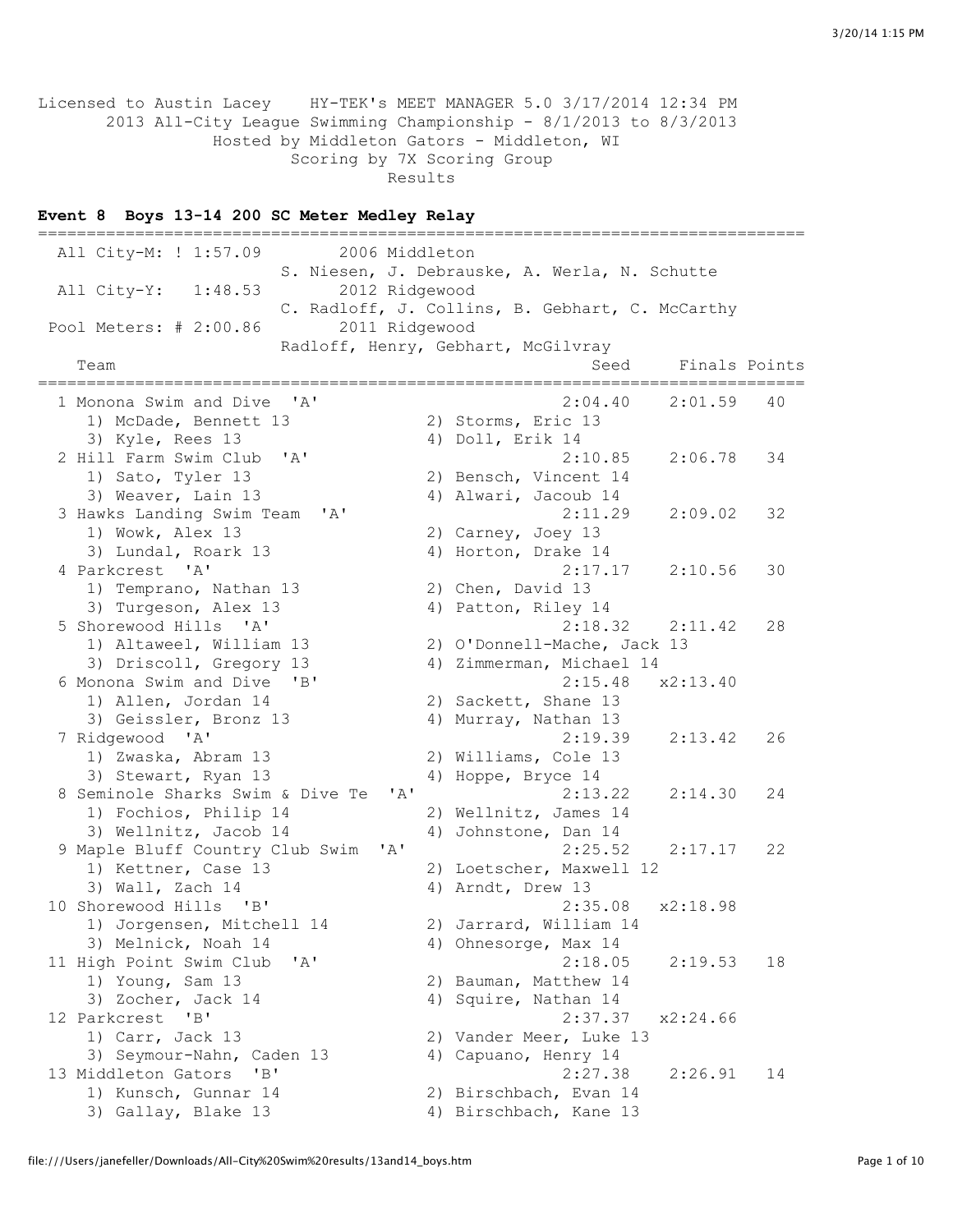Licensed to Austin Lacey HY-TEK's MEET MANAGER 5.0 3/17/2014 12:34 PM 2013 All-City League Swimming Championship - 8/1/2013 to 8/3/2013 Hosted by Middleton Gators - Middleton, WI Scoring by 7X Scoring Group Results

#### **Event 8 Boys 13-14 200 SC Meter Medley Relay**

=============================================================================== All City-M: ! 1:57.09 2006 Middleton S. Niesen, J. Debrauske, A. Werla, N. Schutte All City-Y: 1:48.53 2012 Ridgewood C. Radloff, J. Collins, B. Gebhart, C. McCarthy Pool Meters: # 2:00.86 2011 Ridgewood Radloff, Henry, Gebhart, McGilvray Team Seed Finals Points =============================================================================== 1 Monona Swim and Dive 'A' 2:04.40 2:01.59 40 1) McDade, Bennett 13 2) Storms, Eric 13 3) Kyle, Rees 13 4) Doll, Erik 14 2 Hill Farm Swim Club 'A' 2:10.85 2:06.78 34 1) Sato, Tyler 13 2) Bensch, Vincent 14 3) Weaver, Lain 13 4) Alwari, Jacoub 14 3 Hawks Landing Swim Team 'A' 2:11.29 2:09.02 32 1) Wowk, Alex 13 2) Carney, Joey 13<br>3) Lundal, Roark 13 4) Horton, Drake 14 3) Lundal, Roark 13 (arkers 14) Horton, Drake 14<br>
arkcrest 'A' (2:17.17 (2:10.56) 4 Parkcrest 'A' 2:17.17 2:10.56 30 1) Temprano, Nathan 13 2) Chen, David 13 3) Turgeson, Alex 13 4) Patton, Riley 14 5 Shorewood Hills 'A' 2:18.32 2:11.42 28 1) Altaweel, William 13 2) O'Donnell-Mache, Jack 13 3) Driscoll, Gregory 13 4) Zimmerman, Michael 14 1) Altaweel, William 13 2) O'Donnell-Mache, Jack 13<br>3) Driscoll, Gregory 13 4) Zimmerman, Michael 14<br>6 Monona Swim and Dive 'B' 2:15.48 x2:13.40 1) Allen, Jordan 14 2) Sackett, Shane 13 3) Geissler, Bronz 13 4) Murray, Nathan 13 7 Ridgewood 'A' 2:19.39 2:13.42 26 1) Zwaska, Abram 13 2) Williams, Cole 13 3) Stewart, Ryan 13 4) Hoppe, Bryce 14 8 Seminole Sharks Swim & Dive Te 'A' 2:13.22 2:14.30 24 1) Fochios, Philip 14 2) Wellnitz, James 14 3) Wellnitz, Jacob 14 4) Johnstone, Dan 14 9 Maple Bluff Country Club Swim 'A' 2:25.52 2:17.17 22 1) Kettner, Case 13 2) Loetscher, Maxwell 12 3) Wall, Zach 14 4) Arndt, Drew 13 10 Shorewood Hills 'B' 2:35.08 x2:18.98<br>1) Jorgensen, Mitchell 14 2) Jarrard, William 14 2) Jarrard, William 14 3) Melnick, Noah 14 4) Ohnesorge, Max 14 11 High Point Swim Club 'A' 2:18.05 2:19.53 18 1) Young, Sam 13 2) Bauman, Matthew 14 3) Zocher, Jack 14 4) Squire, Nathan 14<br>12 Parkcrest 'B' 2:37.37 12 Parkcrest 'B' 2:37.37 x2:24.66 1) Carr, Jack 13 2) Vander Meer, Luke 13 3) Seymour-Nahn, Caden 13 4) Capuano, Henry 14 13 Middleton Gators 'B' 2:27.38 2:26.91 14 2:27.38<br>1) Kunsch, Gunnar 14  $\begin{array}{c} 2.27.38 \\ 2)$  Birschbach, Evan 14 3) Gallaw Plake 12 3) Gallay, Blake 13 4) Birschbach, Kane 13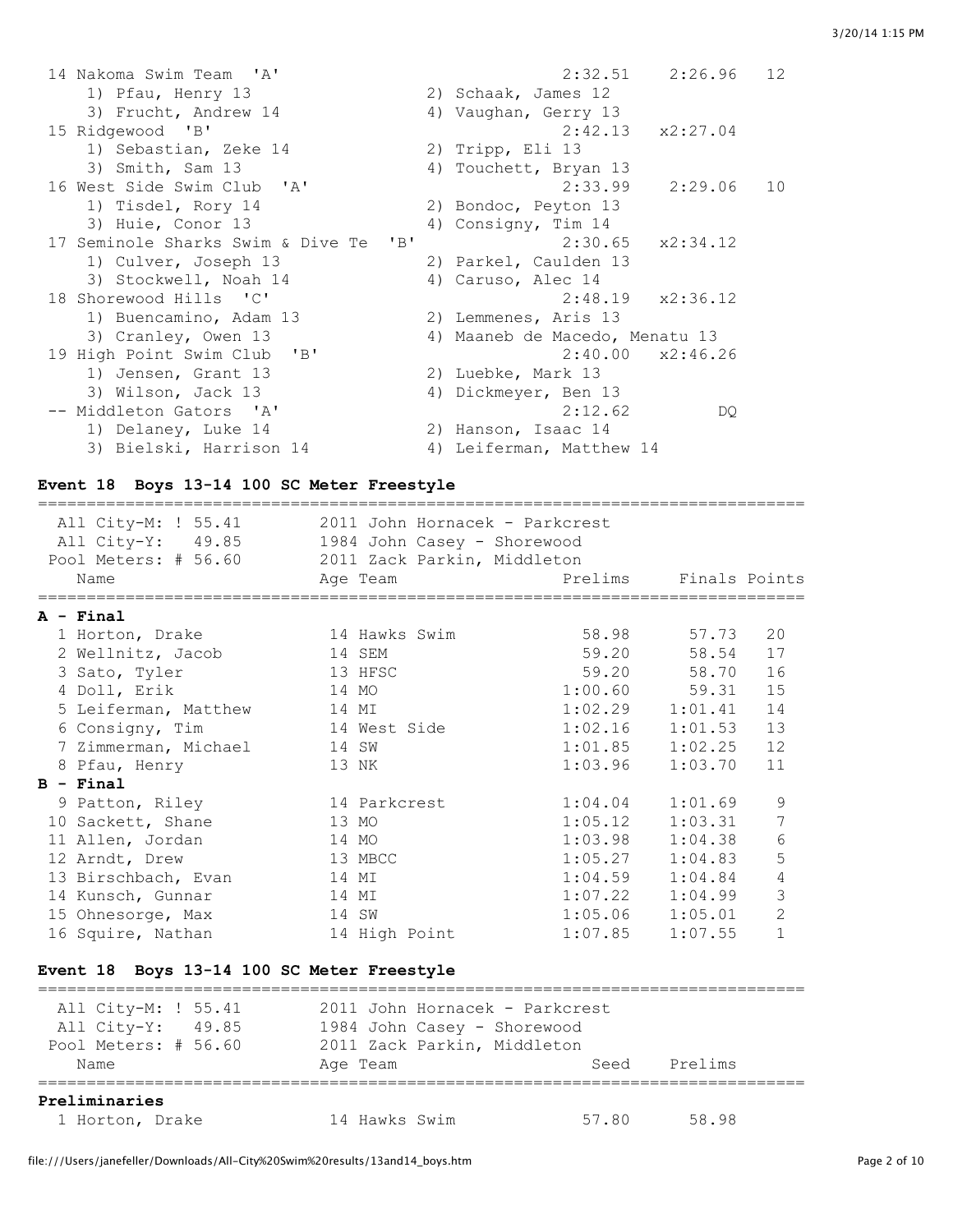| 14 Nakoma Swim Team 'A'               | $2:32.51$ $2:26.96$<br>12      |
|---------------------------------------|--------------------------------|
| 1) Pfau, Henry 13                     | 2) Schaak, James 12            |
| 3) Frucht, Andrew 14                  | 4) Vaughan, Gerry 13           |
| 15 Ridgewood 'B'                      | $2:42.13 \times 2:27.04$       |
| 1) Sebastian, Zeke 14                 | 2) Tripp, Eli 13               |
| 3) Smith, Sam 13                      | 4) Touchett, Bryan 13          |
| 16 West Side Swim Club 'A'            | 2:33.99<br>2:29.06<br>10       |
| 1) Tisdel, Rory 14                    | 2) Bondoc, Peyton 13           |
| 3) Huie, Conor 13                     | 4) Consigny, Tim 14            |
| 17 Seminole Sharks Swim & Dive Te 'B' | $2:30.65$ $x2:34.12$           |
| 1) Culver, Joseph 13                  | 2) Parkel, Caulden 13          |
| 3) Stockwell, Noah 14                 | 4) Caruso, Alec 14             |
| 18 Shorewood Hills 'C'                | $2:48.19$ $x2:36.12$           |
| 1) Buencamino, Adam 13                | 2) Lemmenes, Aris 13           |
| 3) Cranley, Owen 13                   | 4) Maaneb de Macedo, Menatu 13 |
| 19 High Point Swim Club 'B'           | $2:40.00 \times 2:46.26$       |
| 1) Jensen, Grant 13                   | 2) Luebke, Mark 13             |
| 3) Wilson, Jack 13                    | 4) Dickmeyer, Ben 13           |
| -- Middleton Gators 'A'               | 2:12.62<br>DQ.                 |
| 1) Delaney, Luke 14                   | 2) Hanson, Isaac 14            |
| 3) Bielski, Harrison 14               | 4) Leiferman, Matthew 14       |

# **Event 18 Boys 13-14 100 SC Meter Freestyle**

| All City-M: ! 55.41  | 2011 John Hornacek - Parkcrest |                       |                     |                |
|----------------------|--------------------------------|-----------------------|---------------------|----------------|
| All City-Y: 49.85    | 1984 John Casey - Shorewood    |                       |                     |                |
| Pool Meters: # 56.60 | 2011 Zack Parkin, Middleton    |                       |                     |                |
| Name                 | Age Team                       | Prelims Finals Points |                     |                |
|                      |                                |                       |                     |                |
| $A - Final$          |                                |                       |                     |                |
| 1 Horton, Drake      | 14 Hawks Swim                  |                       | 58.98 57.73         | 20             |
| 2 Wellnitz, Jacob    | 14 SEM                         |                       | 59.20 58.54         | 17             |
| 3 Sato, Tyler        | 13 HFSC                        |                       | 59.20 58.70         | 16             |
| 4 Doll, Erik         | 14 MO                          |                       | $1:00.60$ 59.31     | 15             |
| 5 Leiferman, Matthew | 14 MI                          |                       | $1:02.29$ $1:01.41$ | 14             |
| 6 Consigny, Tim      | 14 West Side                   | 1:02.16               | 1:01.53             | 13             |
| 7 Zimmerman, Michael | 14 SW                          | 1:01.85               | 1:02.25             | 12             |
| 8 Pfau, Henry        | 13 NK                          | 1:03.96               | 1:03.70             | 11             |
| $B - Final$          |                                |                       |                     |                |
| 9 Patton, Riley      | 14 Parkcrest                   | 1:04.04               | 1:01.69             | 9              |
| 10 Sackett, Shane    | 13 MO                          | 1:05.12               | 1:03.31             | 7              |
| 11 Allen, Jordan     | 14 MO                          | 1:03.98               | 1:04.38             | 6              |
| 12 Arndt, Drew       | 13 MBCC                        | 1:05.27               | 1:04.83             | 5              |
| 13 Birschbach, Evan  | 14 MI                          | 1:04.59               | 1:04.84             | 4              |
| 14 Kunsch, Gunnar    | 14 MI                          | 1:07.22               | 1:04.99             | 3              |
| 15 Ohnesorge, Max    | 14 SW                          | 1:05.06               | 1:05.01             | $\overline{2}$ |
| 16 Squire, Nathan    | 14 High Point                  | 1:07.85               | 1:07.55             | $\mathbf{1}$   |
|                      |                                |                       |                     |                |

### **Event 18 Boys 13-14 100 SC Meter Freestyle**

| All City-M: ! 55.41<br>All City-Y: 49.85<br>Pool Meters: # 56.60 | 2011 John Hornacek - Parkcrest<br>1984 John Casey - Shorewood<br>2011 Zack Parkin, Middleton |       |         |  |
|------------------------------------------------------------------|----------------------------------------------------------------------------------------------|-------|---------|--|
| Name                                                             | Age Team                                                                                     | Seed  | Prelims |  |
| Preliminaries<br>1 Horton, Drake                                 | 14 Hawks Swim                                                                                | 57.80 | 58.98   |  |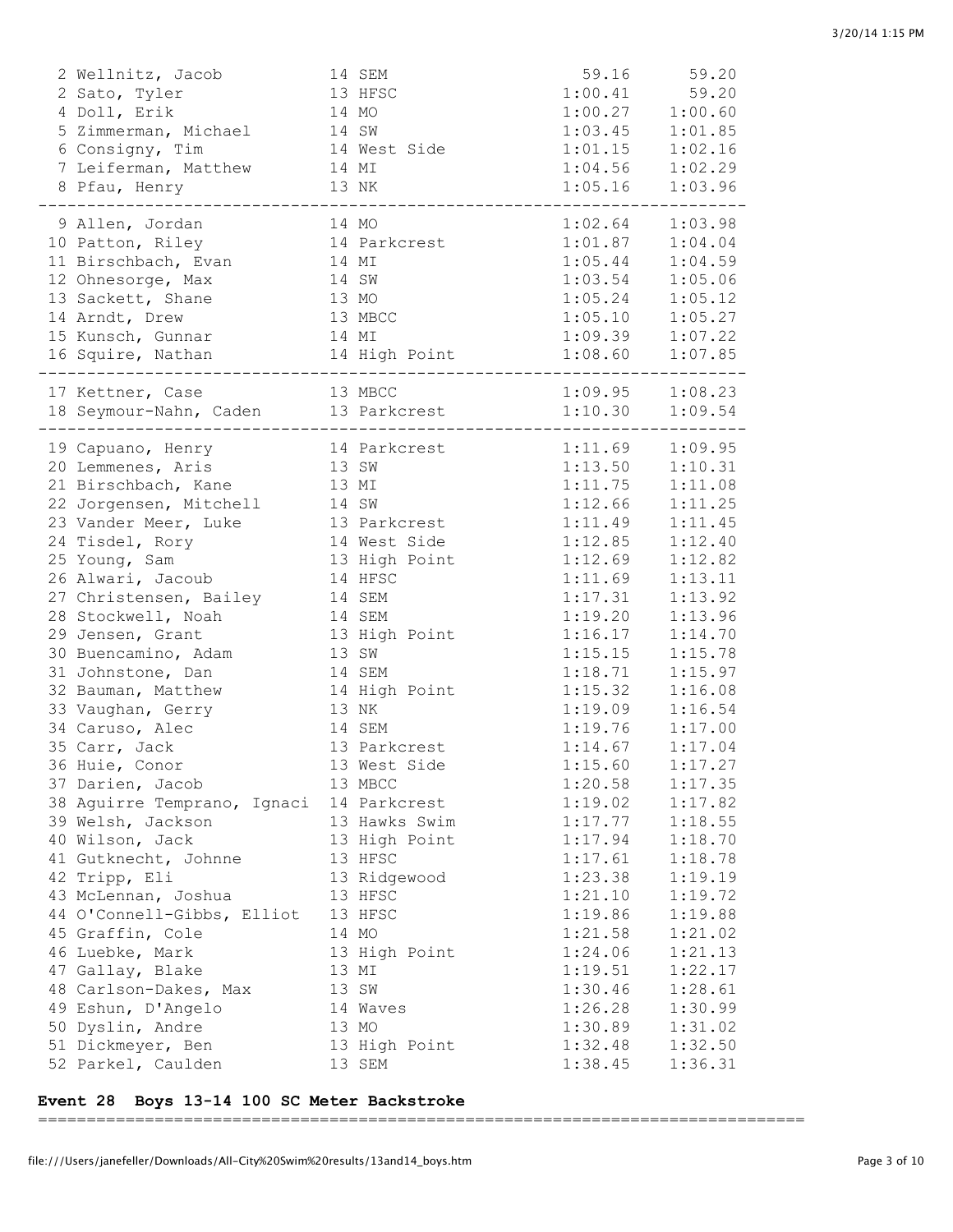| 2 Wellnitz, Jacob                        |       | 14 SEM        |                                                                              | 59.16 59.20 |
|------------------------------------------|-------|---------------|------------------------------------------------------------------------------|-------------|
| 2 Sato, Tyler                            |       | 13 HFSC       | 1:00.41                                                                      | 59.20       |
| 4 Doll, Erik                             |       | 14 MO         | $1:00.41$<br>$1:00.27$ $1:00.60$<br>$1:01.85$                                |             |
| 5 Zimmerman, Michael                     | 14 SW |               | $\begin{array}{cccc} 1:03.45 & & 1:01.85 \\ 1:01.15 & & 1:02.16 \end{array}$ |             |
| 6 Consigny, Tim                          |       | 14 West Side  |                                                                              |             |
| 7 Leiferman, Matthew                     | 14 MI |               |                                                                              |             |
| 8 Pfau, Henry<br>_______________________ | 13 NK |               | $1:04.56$ $1:02.29$<br>$1:05.16$ $1:03.96$                                   |             |
| 9 Allen, Jordan                          |       | 14 MO         | 1:02.64                                                                      | 1:03.98     |
| 10 Patton, Riley                         |       | 14 Parkcrest  | $1:01.87$ $1:04.04$                                                          |             |
| 11 Birschbach, Evan                      |       | 14 MI         | 1:05.44                                                                      | 1:04.59     |
| 12 Ohnesorge, Max                        |       | 14 SW         | 1:03.54                                                                      | 1:05.06     |
| 13 Sackett, Shane                        |       | 13 MO         | 1:05.24                                                                      | 1:05.12     |
| 14 Arndt, Drew                           |       | 13 MBCC       | 1:05.10                                                                      | 1:05.27     |
| 15 Kunsch, Gunnar                        | 14 MI |               | $1:05.10$<br>$1:09.39$<br>$1:07.22$<br>$1:07.85$                             |             |
|                                          |       |               |                                                                              |             |
|                                          |       |               |                                                                              |             |
|                                          |       |               |                                                                              |             |
| 19 Capuano, Henry                        |       | 14 Parkcrest  | $1:11.69$ $1:09.95$                                                          |             |
| 20 Lemmenes, Aris                        | 13 SW |               | 1:13.50 1:10.31                                                              |             |
| 21 Birschbach, Kane                      |       | 13 MI         | 1:11.75                                                                      | 1:11.08     |
| 22 Jorgensen, Mitchell                   | 14 SW |               | 1:12.66                                                                      | 1:11.25     |
| 23 Vander Meer, Luke                     |       | 13 Parkcrest  | 1:11.49                                                                      | 1:11.45     |
| 24 Tisdel, Rory                          |       | 14 West Side  | 1:12.85                                                                      | 1:12.40     |
| 25 Young, Sam                            |       | 13 High Point | 1:12.69                                                                      | 1:12.82     |
| 26 Alwari, Jacoub                        |       | 14 HFSC       | 1:11.69                                                                      | 1:13.11     |
| 27 Christensen, Bailey                   |       | 14 SEM        | 1:17.31                                                                      | 1:13.92     |
| 28 Stockwell, Noah                       |       | 14 SEM        | 1:19.20                                                                      | 1:13.96     |
| 29 Jensen, Grant                         |       | 13 High Point | 1:16.17                                                                      | 1:14.70     |
| 30 Buencamino, Adam                      |       | 13 SW         | 1:15.15                                                                      | 1:15.78     |
| 31 Johnstone, Dan                        |       | 14 SEM        | 1:18.71                                                                      | 1:15.97     |
| 32 Bauman, Matthew                       |       | 14 High Point | 1:15.32                                                                      | 1:16.08     |
| 33 Vaughan, Gerry                        |       | 13 NK         | 1:19.09                                                                      | 1:16.54     |
| 34 Caruso, Alec                          |       | 14 SEM        | $\begin{array}{cccc} 1:19.76 & & 1:17.00 \\ 1:14.67 & & 1:17.04 \end{array}$ |             |
| 35 Carr, Jack                            |       | 13 Parkcrest  |                                                                              |             |
| 36 Huie, Conor                           |       | 13 West Side  | 1:15.60                                                                      | 1:17.27     |
| 37 Darien, Jacob                         |       | 13 MBCC       | 1:20.58                                                                      | 1:17.35     |
| 38 Aguirre Temprano, Ignaci              |       | 14 Parkcrest  | 1:19.02                                                                      | 1:17.82     |
| 39 Welsh, Jackson                        |       | 13 Hawks Swim | 1:17.77                                                                      | 1:18.55     |
| 40 Wilson, Jack                          |       | 13 High Point | 1:17.94                                                                      | 1:18.70     |
| 41 Gutknecht, Johnne                     |       | 13 HFSC       | 1:17.61                                                                      | 1:18.78     |
| 42 Tripp, Eli                            |       | 13 Ridgewood  | 1:23.38                                                                      | 1:19.19     |
| 43 McLennan, Joshua                      |       | 13 HFSC       | 1:21.10                                                                      | 1:19.72     |
| 44 O'Connell-Gibbs, Elliot               |       | 13 HFSC       | 1:19.86                                                                      | 1:19.88     |
| 45 Graffin, Cole                         |       | 14 MO         | 1:21.58                                                                      | 1:21.02     |
| 46 Luebke, Mark                          |       | 13 High Point | 1:24.06                                                                      | 1:21.13     |
| 47 Gallay, Blake                         |       | 13 MI         | 1:19.51                                                                      | 1:22.17     |
| 48 Carlson-Dakes, Max                    |       | 13 SW         | 1:30.46                                                                      | 1:28.61     |
| 49 Eshun, D'Angelo                       |       | 14 Waves      | 1:26.28                                                                      | 1:30.99     |
| 50 Dyslin, Andre                         |       | 13 MO         | 1:30.89                                                                      | 1:31.02     |
| 51 Dickmeyer, Ben                        |       | 13 High Point | 1:32.48                                                                      | 1:32.50     |
| 52 Parkel, Caulden                       |       | 13 SEM        | 1:38.45                                                                      | 1:36.31     |

### **Event 28 Boys 13-14 100 SC Meter Backstroke**

===============================================================================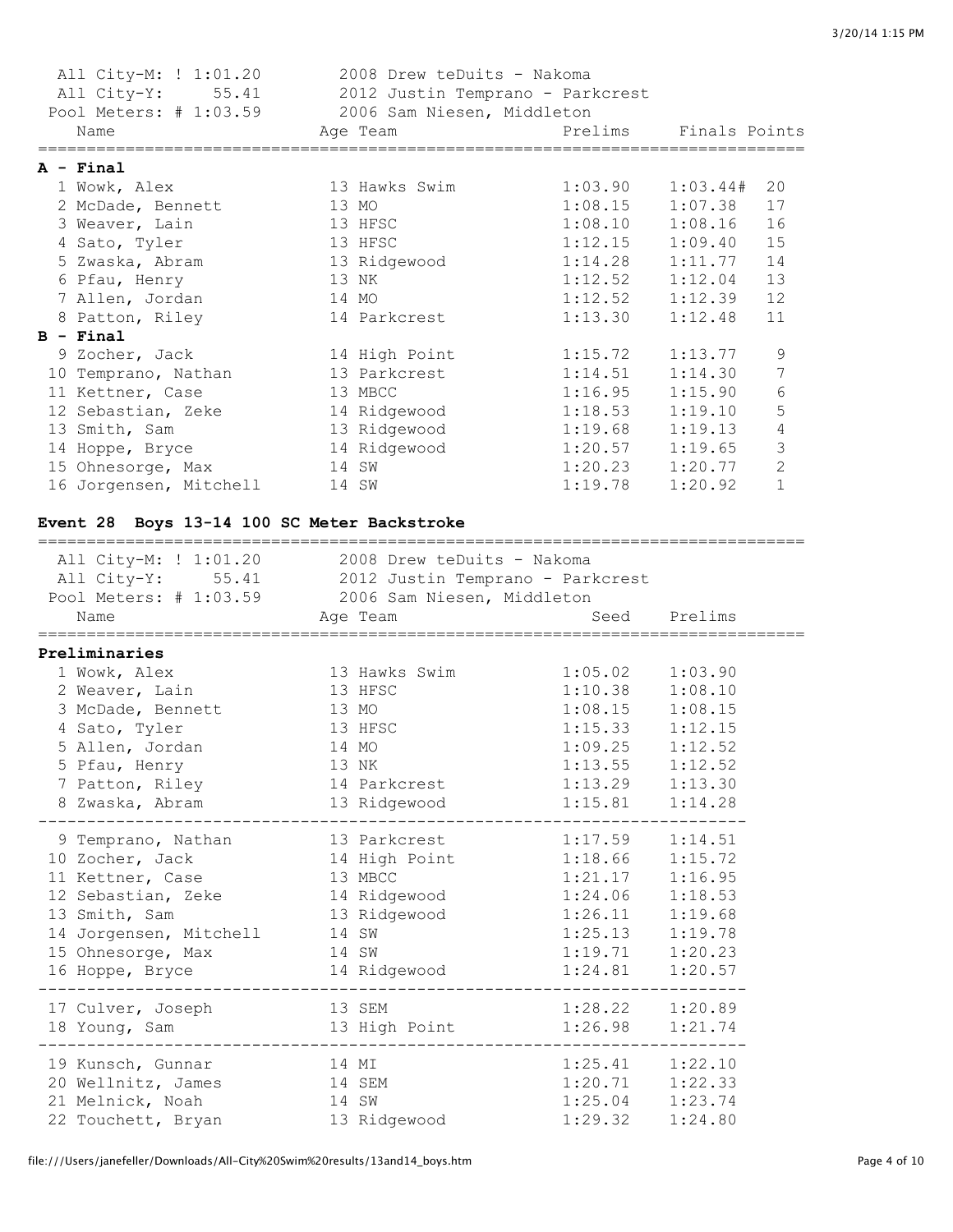| All City-M: ! 1:01.20                              | 2008 Drew teDuits - Nakoma                      |                      |         |                |
|----------------------------------------------------|-------------------------------------------------|----------------------|---------|----------------|
| All City-Y: 55.41 2012 Justin Temprano - Parkcrest |                                                 |                      |         |                |
| Pool Meters: # 1:03.59 2006 Sam Niesen, Middleton  |                                                 |                      |         |                |
| Name                                               | Age Team <b>Example 2</b> Prelims Finals Points |                      |         |                |
| ===================================                |                                                 |                      |         |                |
| $A - Final$                                        |                                                 |                      |         |                |
| 1 Wowk, Alex                                       | 13 Hawks Swim                                   | $1:03.90$ $1:03.44#$ |         | 20             |
| 2 McDade, Bennett                                  | 13 MO                                           | 1:08.15              | 1:07.38 | 17             |
| 3 Weaver, Lain                                     | 13 HFSC                                         | $1:08.10$ $1:08.16$  |         | 16             |
| 4 Sato, Tyler                                      | 13 HFSC                                         | 1:12.15              | 1:09.40 | 15             |
| 5 Zwaska, Abram                                    | 13 Ridgewood                                    | 1:14.28              | 1:11.77 | 14             |
| 6 Pfau, Henry                                      | 13 NK                                           | $1:12.52$ $1:12.04$  |         | 13             |
| 7 Allen, Jordan                                    | 14 MO                                           | 1:12.52              | 1:12.39 | 12             |
| 8 Patton, Riley                                    | 14 Parkcrest                                    | 1:13.30              | 1:12.48 | 11             |
| $B - Final$                                        |                                                 |                      |         |                |
| 9 Zocher, Jack                                     | 14 High Point                                   | 1:15.72              | 1:13.77 | 9              |
| 10 Temprano, Nathan                                | 13 Parkcrest                                    | 1:14.51              | 1:14.30 | 7              |
| 11 Kettner, Case                                   | 13 MBCC                                         | $1:16.95$ $1:15.90$  |         | 6              |
| 12 Sebastian, Zeke                                 | 14 Ridgewood                                    | 1:18.53              | 1:19.10 | 5              |
| 13 Smith, Sam                                      | 13 Ridgewood                                    | 1:19.68              | 1:19.13 | $\overline{4}$ |
| 14 Hoppe, Bryce                                    | 14 Ridgewood                                    | $1:20.57$ $1:19.65$  |         | 3              |
| 15 Ohnesorge, Max                                  | 14 SW                                           | $1:20.23$ $1:20.77$  |         | $\overline{c}$ |
| 16 Jorgensen, Mitchell                             | 14 SW                                           | 1:19.78              | 1:20.92 | $\mathbf{1}$   |

## **Event 28 Boys 13-14 100 SC Meter Backstroke**

| All City-M: ! 1:01.20 2008 Drew teDuits - Nakoma<br>All City-Y: 55.41 2012 Justin Temprano - Parkcrest<br>Pool Meters: # 1:03.59 2006 Sam Niesen, Middleton<br>Name | Age Team                      | Seed Prelims        |         |  |
|---------------------------------------------------------------------------------------------------------------------------------------------------------------------|-------------------------------|---------------------|---------|--|
| Preliminaries                                                                                                                                                       |                               |                     |         |  |
| 1 Wowk, Alex                                                                                                                                                        | 13 Hawks Swim                 | $1:05.02$ $1:03.90$ |         |  |
| 2 Weaver, Lain                                                                                                                                                      | 13 HFSC                       | 1:10.38             | 1:08.10 |  |
| 3 McDade, Bennett                                                                                                                                                   | 13 MO                         | 1:08.15             | 1:08.15 |  |
| 4 Sato, Tyler                                                                                                                                                       | 13 HFSC                       | 1:15.33             | 1:12.15 |  |
| 5 Allen, Jordan                                                                                                                                                     | 14 MO                         | 1:09.25             | 1:12.52 |  |
| 5 Pfau, Henry                                                                                                                                                       | 13 NK                         | 1:13.55             | 1:12.52 |  |
| 7 Patton, Riley                                                                                                                                                     | 14 Parkcrest                  | $1:13.29$ $1:13.30$ |         |  |
| 8 Zwaska, Abram                                                                                                                                                     | 13 Ridgewood                  | $1:15.81$ $1:14.28$ |         |  |
| 9 Temprano, Nathan                                                                                                                                                  | 13 Parkcrest                  | $1:17.59$ $1:14.51$ |         |  |
| 10 Zocher, Jack 14 High Point 1:18.66 1:15.72                                                                                                                       |                               |                     |         |  |
| 11 Kettner, Case 13 MBCC                                                                                                                                            |                               | 1:21.17             | 1:16.95 |  |
| 12 Sebastian, Zeke 14 Ridgewood 1:24.06 1:18.53                                                                                                                     |                               |                     |         |  |
| 13 Smith, Sam                                                                                                                                                       | 13 Ridgewood                  | $1:26.11$ $1:19.68$ |         |  |
| 14 Jorgensen, Mitchell 14 SW                                                                                                                                        |                               | $1:25.13$ $1:19.78$ |         |  |
| 15 Ohnesorge, Max 14 SW                                                                                                                                             |                               | 1:19.71             | 1:20.23 |  |
| 16 Hoppe, Bryce                                                                                                                                                     | 14 Ridgewood 1:24.81 1:20.57  |                     |         |  |
| 17 Culver, Joseph                                                                                                                                                   | 13 SEM                        | $1:28.22$ $1:20.89$ |         |  |
| 18 Young, Sam                                                                                                                                                       | 13 High Point 1:26.98 1:21.74 |                     |         |  |
| 19 Kunsch, Gunnar                                                                                                                                                   | 14 MI                         | $1:25.41$ $1:22.10$ |         |  |
| 20 Wellnitz, James 14 SEM                                                                                                                                           |                               | $1:20.71$ $1:22.33$ |         |  |
| 21 Melnick, Noah<br>14 SW                                                                                                                                           |                               | $1:25.04$ $1:23.74$ |         |  |
| 22 Touchett, Bryan 13 Ridgewood                                                                                                                                     |                               | 1:29.32             | 1:24.80 |  |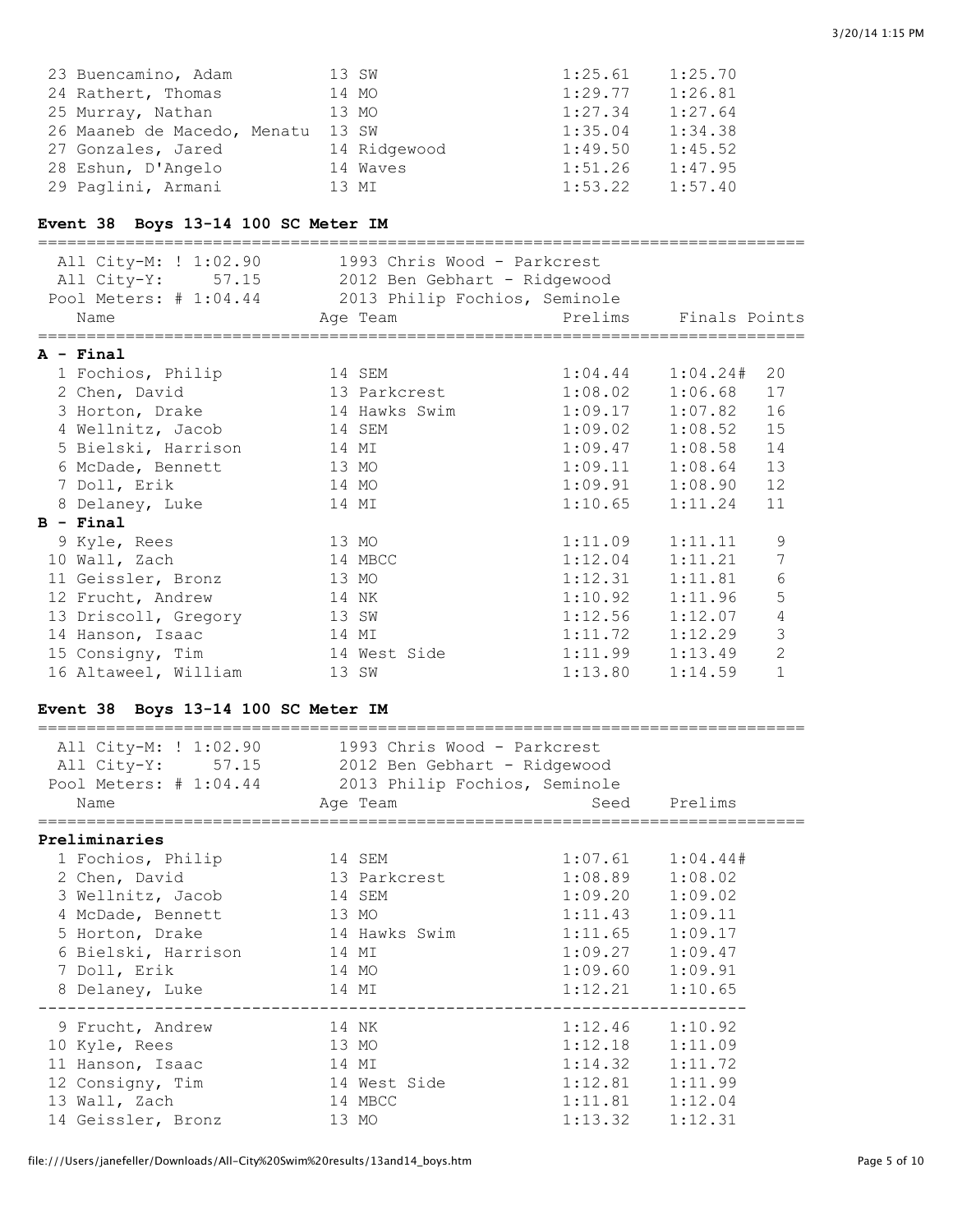| 23 Buencamino, Adam         | 13 SW        | 1:25.61 | 1:25.70 |
|-----------------------------|--------------|---------|---------|
| 24 Rathert, Thomas          | 14 MO        | 1:29.77 | 1:26.81 |
| 25 Murray, Nathan           | 13 MO        | 1:27.34 | 1:27.64 |
| 26 Maaneb de Macedo, Menatu | 13 SW        | 1:35.04 | 1:34.38 |
| 27 Gonzales, Jared          | 14 Ridgewood | 1:49.50 | 1:45.52 |
| 28 Eshun, D'Angelo          | 14 Waves     | 1:51.26 | 1:47.95 |
| 29 Paglini, Armani          | 13 MI        | 1:53.22 | 1:57.40 |

## **Event 38 Boys 13-14 100 SC Meter IM**

| All City-M: ! 1:02.90 1993 Chris Wood - Parkcrest<br>All City-Y: 57.15 2012 Ben Gebhart - Ridgewood<br>Pool Meters: # 1:04.44 2013 Philip Fochios, Seminole<br>Name | Age Team      | Prelims Finals Points |                      |                |
|---------------------------------------------------------------------------------------------------------------------------------------------------------------------|---------------|-----------------------|----------------------|----------------|
| A - Final                                                                                                                                                           |               |                       |                      |                |
| 1 Fochios, Philip                                                                                                                                                   | 14 SEM        |                       | $1:04.44$ $1:04.24#$ | 20             |
| 2 Chen, David                                                                                                                                                       | 13 Parkcrest  | 1:08.02               | 1:06.68              | 17             |
| 3 Horton, Drake                                                                                                                                                     | 14 Hawks Swim | $1:09.17$ $1:07.82$   |                      | 16             |
| 4 Wellnitz, Jacob                                                                                                                                                   | 14 SEM        | 1:09.02               | 1:08.52              | 15             |
| 5 Bielski, Harrison                                                                                                                                                 | 14 MI         |                       | $1:09.47$ $1:08.58$  | 14             |
| 6 McDade, Bennett                                                                                                                                                   | 13 MO         |                       | $1:09.11$ $1:08.64$  | 13             |
| 7 Doll, Erik                                                                                                                                                        | 14 MO         |                       | $1:09.91$ $1:08.90$  | 12             |
| 8 Delaney, Luke                                                                                                                                                     | 14 MI         | $1:10.65$ $1:11.24$   |                      | 11             |
| $B - Final$                                                                                                                                                         |               |                       |                      |                |
| 9 Kyle, Rees                                                                                                                                                        | 13 MO         | 1:11.09               | 1:11.11              | 9              |
| 10 Wall, Zach                                                                                                                                                       | 14 MBCC       | 1:12.04               | 1:11.21              | 7              |
| 11 Geissler, Bronz                                                                                                                                                  | 13 MO         | 1:12.31               | 1:11.81              | 6              |
| 12 Frucht, Andrew                                                                                                                                                   | 14 NK         | 1:10.92               | 1:11.96              | 5              |
| 13 Driscoll, Gregory                                                                                                                                                | 13 SW         | 1:12.56               | 1:12.07              | 4              |
| 14 Hanson, Isaac                                                                                                                                                    | 14 MI         | 1:11.72               | 1:12.29              | 3              |
| 15 Consigny, Tim 14 West Side                                                                                                                                       |               | $1:11.99$ $1:13.49$   |                      | $\overline{2}$ |
| 16 Altaweel, William                                                                                                                                                | 13 SW         | 1:13.80               | 1:14.59              | $\mathbf{1}$   |

# **Event 38 Boys 13-14 100 SC Meter IM**

| All City-M: ! 1:02.90 1993 Chris Wood - Parkcrest<br>All City-Y: 57.15 2012 Ben Gebhart - Ridgewood<br>Pool Meters: # 1:04.44 2013 Philip Fochios, Seminole<br>Name | Age Team     | seed Prelims                       |                      |
|---------------------------------------------------------------------------------------------------------------------------------------------------------------------|--------------|------------------------------------|----------------------|
|                                                                                                                                                                     |              |                                    |                      |
| Preliminaries                                                                                                                                                       |              |                                    |                      |
| 1 Fochios, Philip 14 SEM                                                                                                                                            |              |                                    | $1:07.61$ $1:04.44#$ |
| 2 Chen, David                                                                                                                                                       | 13 Parkcrest | $1:08.89$ $1:08.02$                |                      |
| 3 Wellnitz, Jacob                                                                                                                                                   | 14 SEM       | $1:09.20$ $1:09.02$                |                      |
| 4 McDade, Bennett 13 MO                                                                                                                                             |              | $1:11.43$ $1:09.11$                |                      |
| 5 Horton, Drake 14 Hawks Swim                                                                                                                                       |              | $1:11.65$ $1:09.17$                |                      |
| 6 Bielski, Harrison                                                                                                                                                 | 14 MI        | $1:09.27$ $1:09.47$                |                      |
| 7 Doll, Erik                                                                                                                                                        | 14 MO        | $1:09.60$ $1:09.91$                |                      |
| 8 Delaney, Luke<br>---------------------------------                                                                                                                | 14 MI        | $1:12.21$ $1:10.65$<br>----------- |                      |
| 9 Frucht, Andrew                                                                                                                                                    | 14 NK        | $1:12.46$ $1:10.92$                |                      |
| 10 Kyle, Rees                                                                                                                                                       | 13 MO        | $1:12.18$ $1:11.09$                |                      |
| 11 Hanson, Isaac                                                                                                                                                    | 14 MI        | $1:14.32$ $1:11.72$                |                      |
| 12 Consigny, Tim                                                                                                                                                    | 14 West Side | $1:12.81$ $1:11.99$                |                      |
| 13 Wall, Zach                                                                                                                                                       | 14 MBCC      | $1:11.81$ $1:12.04$                |                      |
| 14 Geissler, Bronz                                                                                                                                                  | 13 MO        | $1:13.32$ $1:12.31$                |                      |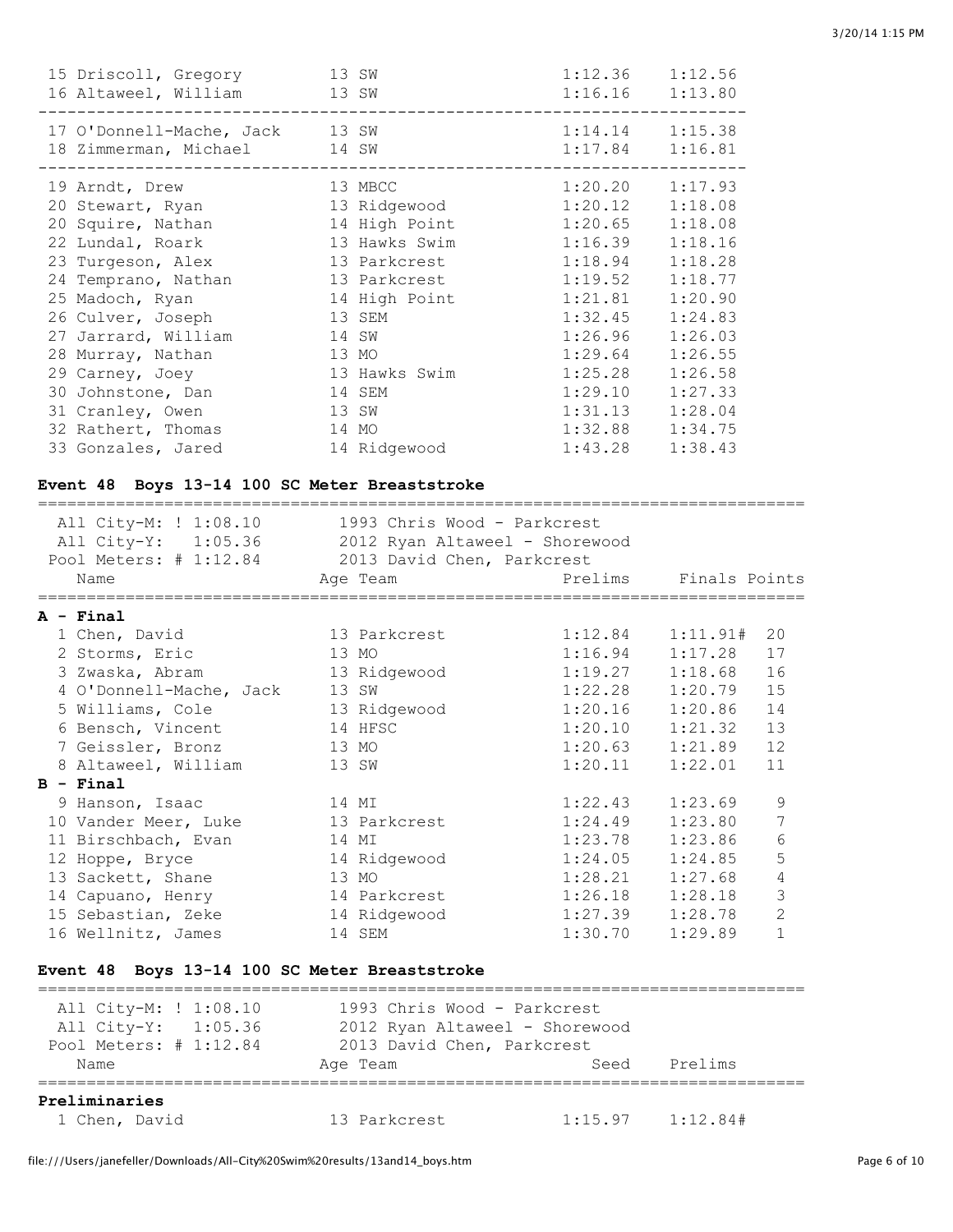| 15 Driscoll, Gregory 13 SW<br>16 Altaweel, William 13 SW                                                                                                                                                    |                                                                                                                                        | 1:12.36<br>$1:16.16$ $1:13.80$                                                                             | 1:12.56                                                                                                    |
|-------------------------------------------------------------------------------------------------------------------------------------------------------------------------------------------------------------|----------------------------------------------------------------------------------------------------------------------------------------|------------------------------------------------------------------------------------------------------------|------------------------------------------------------------------------------------------------------------|
| 17 O'Donnell-Mache, Jack 13 SW<br>18 Zimmerman, Michael<br>14 SW                                                                                                                                            |                                                                                                                                        | 1:14.14<br>1:17.84                                                                                         | 1:15.38<br>1:16.81                                                                                         |
| 19 Arndt, Drew<br>20 Stewart, Ryan<br>20 Squire, Nathan<br>22 Lundal, Roark<br>23 Turgeson, Alex<br>24 Temprano, Nathan<br>25 Madoch, Ryan<br>26 Culver, Joseph<br>27 Jarrard, William<br>28 Murray, Nathan | 13 MBCC<br>13 Ridgewood<br>14 High Point<br>13 Hawks Swim<br>13 Parkcrest<br>13 Parkcrest<br>14 High Point<br>13 SEM<br>14 SW<br>13 MO | 1:20.20<br>1:20.12<br>1:20.65<br>1:16.39<br>1:18.94<br>1:19.52<br>1:21.81<br>1:32.45<br>1:26.96<br>1:29.64 | 1:17.93<br>1:18.08<br>1:18.08<br>1:18.16<br>1:18.28<br>1:18.77<br>1:20.90<br>1:24.83<br>1:26.03<br>1:26.55 |
| 29 Carney, Joey                                                                                                                                                                                             | 13 Hawks Swim                                                                                                                          | 1:25.28                                                                                                    | 1:26.58                                                                                                    |
| 30 Johnstone, Dan<br>31 Cranley, Owen                                                                                                                                                                       | 14 SEM<br>13 SW                                                                                                                        | 1:29.10<br>1:31.13                                                                                         | 1:27.33<br>1:28.04                                                                                         |
| 32 Rathert, Thomas                                                                                                                                                                                          | 14 MO                                                                                                                                  | 1:32.88                                                                                                    | 1:34.75                                                                                                    |
| 33 Gonzales, Jared                                                                                                                                                                                          | 14 Ridgewood                                                                                                                           | 1:43.28                                                                                                    | 1:38.43                                                                                                    |

# **Event 48 Boys 13-14 100 SC Meter Breaststroke**

| All City-M: ! 1:08.10                              | 1993 Chris Wood - Parkcrest |                     |                            |
|----------------------------------------------------|-----------------------------|---------------------|----------------------------|
| All City-Y: 1:05.36 2012 Ryan Altaweel - Shorewood |                             |                     |                            |
| Pool Meters: # 1:12.84 2013 David Chen, Parkcrest  |                             |                     |                            |
| Name                                               | Age Team                    |                     | Prelims Finals Points      |
|                                                    |                             |                     |                            |
| $A - Final$                                        |                             |                     |                            |
| 1 Chen, David                                      | 13 Parkcrest                |                     | $1:12.84$ $1:11.91#$<br>20 |
| 2 Storms, Eric                                     | 13 MO                       | 1:16.94             | 1:17.28<br>17              |
| 3 Zwaska, Abram                                    | 13 Ridgewood                | $1:19.27$ $1:18.68$ | 16                         |
| 4 O'Donnell-Mache, Jack                            | 13 SW                       | 1:22.28             | 1:20.79<br>15              |
| 5 Williams, Cole                                   | 13 Ridgewood                | $1:20.16$ $1:20.86$ | 14                         |
| 6 Bensch, Vincent                                  | 14 HFSC                     |                     | 13<br>$1:20.10$ $1:21.32$  |
| 7 Geissler, Bronz                                  | 13 MO                       | $1:20.63$ $1:21.89$ | 12                         |
| 8 Altaweel, William                                | 13 SW                       | $1:20.11$ $1:22.01$ | 11                         |
| $B - Final$                                        |                             |                     |                            |
| 9 Hanson, Isaac                                    | 14 MI                       | 1:22.43             | 9<br>1:23.69               |
| 10 Vander Meer, Luke                               | 13 Parkcrest                | 1:24.49             | 7<br>1:23.80               |
| 11 Birschbach, Evan                                | 14 MI                       | 1:23.78             | 6<br>1:23.86               |
| 12 Hoppe, Bryce                                    | 14 Ridgewood                | $1:24.05$ $1:24.85$ | 5                          |
| 13 Sackett, Shane                                  | 13 MO                       | $1:28.21$ $1:27.68$ | $\overline{4}$             |
| 14 Capuano, Henry                                  | 14 Parkcrest                | 1:26.18             | 3<br>1:28.18               |
| 15 Sebastian, Zeke                                 | 14 Ridgewood                | $1:27.39$ $1:28.78$ | $\overline{2}$             |
| 16 Wellnitz, James                                 | 14 SEM                      | 1:30.70             | $\mathbf{1}$<br>1:29.89    |
|                                                    |                             |                     |                            |
| Event 48 Boys 13-14 100 SC Meter Breaststroke      |                             |                     |                            |
|                                                    |                             |                     |                            |

| All City-M: ! 1:08.10  | 1993 Chris Wood - Parkcrest    |         |          |  |
|------------------------|--------------------------------|---------|----------|--|
| All City-Y: 1:05.36    | 2012 Ryan Altaweel - Shorewood |         |          |  |
| Pool Meters: # 1:12.84 | 2013 David Chen, Parkcrest     |         |          |  |
| Name                   | Age Team                       | Seed    | Prelims  |  |
| Preliminaries          |                                |         |          |  |
| 1 Chen, David          | 13 Parkcrest                   | 1:15.97 | 1:12.84# |  |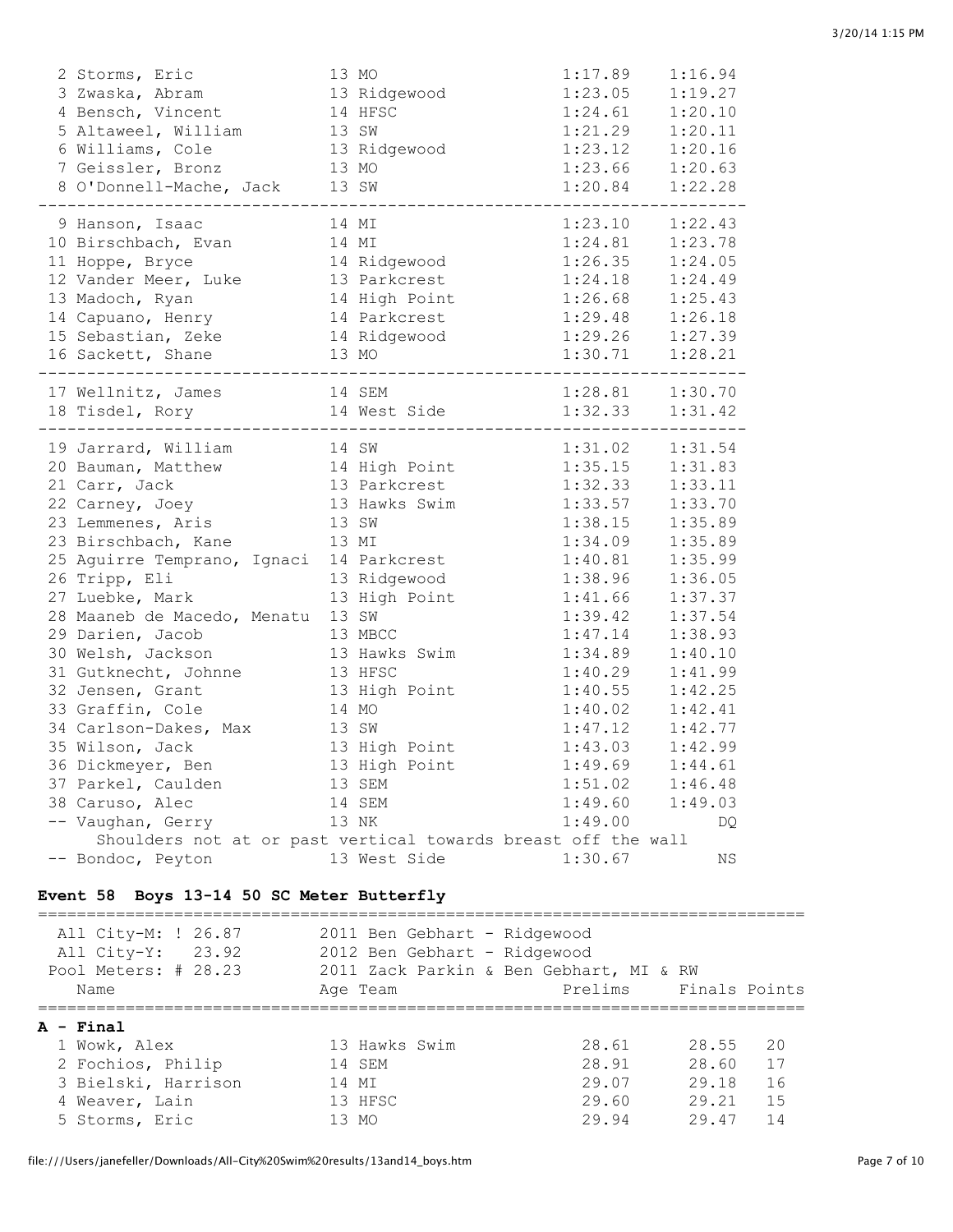| 2 Storms, Eric                                                | 13 MO         | 1:17.89                           | 1:16.94             |
|---------------------------------------------------------------|---------------|-----------------------------------|---------------------|
| 3 Zwaska, Abram                                               | 13 Ridgewood  | 1:23.05                           | 1:19.27             |
| 4 Bensch, Vincent                                             | 14 HFSC       | 1:24.61                           | 1:20.10             |
| 5 Altaweel, William                                           | 13 SW         | 1:21.29                           | 1:20.11             |
| 6 Williams, Cole                                              | 13 Ridgewood  | 1:23.12                           | 1:20.16             |
| 7 Geissler, Bronz                                             | 13 MO         | $1:23.66$ $1:20.63$               |                     |
| 8 O'Donnell-Mache, Jack 13 SW                                 |               | $1:20.84$ $1:22.28$               |                     |
| 9 Hanson, Isaac                                               | 14 MI         | 1:23.10                           | 1:22.43             |
| 10 Birschbach, Evan                                           | 14 MI         | 1:24.81                           | 1:23.78             |
| 11 Hoppe, Bryce                                               | 14 Ridgewood  | 1:26.35                           | 1:24.05             |
| 12 Vander Meer, Luke                                          | 13 Parkcrest  | 1:24.18                           | 1:24.49             |
| 13 Madoch, Ryan                                               | 14 High Point | 1:26.68                           | 1:25.43             |
| 14 Capuano, Henry                                             | 14 Parkcrest  |                                   | $1:29.48$ $1:26.18$ |
| 15 Sebastian, Zeke                                            | 14 Ridgewood  |                                   | $1:29.26$ $1:27.39$ |
| 16 Sackett, Shane                                             | 13 MO         |                                   | $1:30.71$ $1:28.21$ |
| 17 Wellnitz, James                                            | 14 SEM        |                                   | $1:28.81$ $1:30.70$ |
| 18 Tisdel, Rory                                               | 14 West Side  | $1:32.33$ $1:31.42$<br>---------- |                     |
| 19 Jarrard, William                                           | 14 SW         | 1:31.02                           | 1:31.54             |
| 20 Bauman, Matthew                                            | 14 High Point | 1:35.15                           | 1:31.83             |
| 21 Carr, Jack                                                 | 13 Parkcrest  | 1:32.33                           | 1:33.11             |
| 22 Carney, Joey                                               | 13 Hawks Swim | 1:33.57                           | 1:33.70             |
| 23 Lemmenes, Aris                                             | 13 SW         | 1:38.15                           | 1:35.89             |
| 23 Birschbach, Kane                                           | 13 MI         | 1:34.09                           | 1:35.89             |
| 25 Aguirre Temprano, Ignaci 14 Parkcrest                      |               | 1:40.81                           | 1:35.99             |
| 26 Tripp, Eli                                                 | 13 Ridgewood  | 1:38.96                           | 1:36.05             |
| 27 Luebke, Mark                                               | 13 High Point | 1:41.66                           | 1:37.37             |
| 28 Maaneb de Macedo, Menatu                                   | 13 SW         | 1:39.42                           | 1:37.54             |
| 29 Darien, Jacob                                              | 13 MBCC       | 1:47.14                           | 1:38.93             |
| 30 Welsh, Jackson                                             | 13 Hawks Swim | 1:34.89                           | 1:40.10             |
| 31 Gutknecht, Johnne                                          | 13 HFSC       | 1:40.29                           | 1:41.99             |
| 32 Jensen, Grant                                              | 13 High Point | 1:40.55                           | 1:42.25             |
| 33 Graffin, Cole                                              | 14 MO         | 1:40.02                           | 1:42.41             |
| 34 Carlson-Dakes, Max                                         | 13 SW         | 1:47.12                           | 1:42.77             |
| 35 Wilson, Jack                                               | 13 High Point | 1:43.03                           | 1:42.99             |
| 36 Dickmeyer, Ben                                             | 13 High Point | 1:49.69                           | 1:44.61             |
| 37 Parkel, Caulden                                            | 13 SEM        | 1:51.02                           | 1:46.48             |
| 38 Caruso, Alec                                               | 14 SEM        | 1:49.60                           | 1:49.03             |
| -- Vaughan, Gerry                                             | 13 NK         | 1:49.00                           | DQ                  |
| Shoulders not at or past vertical towards breast off the wall |               |                                   |                     |
| -- Bondoc, Peyton                                             | 13 West Side  | 1:30.67                           | ΝS                  |

#### **Event 58 Boys 13-14 50 SC Meter Butterfly**

=============================================================================== All City-M: ! 26.87 2011 Ben Gebhart - Ridgewood All City-Y: 23.92 2012 Ben Gebhart - Ridgewood Pool Meters: # 28.23 2011 Zack Parkin & Ben Gebhart, MI & RW Name Age Team Prelims Finals Points =============================================================================== **A - Final** 1 Wowk, Alex 13 Hawks Swim 28.61 28.55 20 2 Fochios, Philip 14 SEM 28.91 28.60 17 3 Bielski, Harrison 14 MI 29.07 29.18 16 1 Wowk, Alex<br>
2 Fochios, Philip<br>
3 Bielski, Harrison<br>
4 Weaver, Lain<br>
5 Chieffe Distributed Martin 13 HFSC<br>
29.60 29.21 15<br>
29.60 29.21 15<br>
29.60 29.21 15<br>
29.84 29.47 14 5 Storms, Eric 13 MO 29.94 29.47 14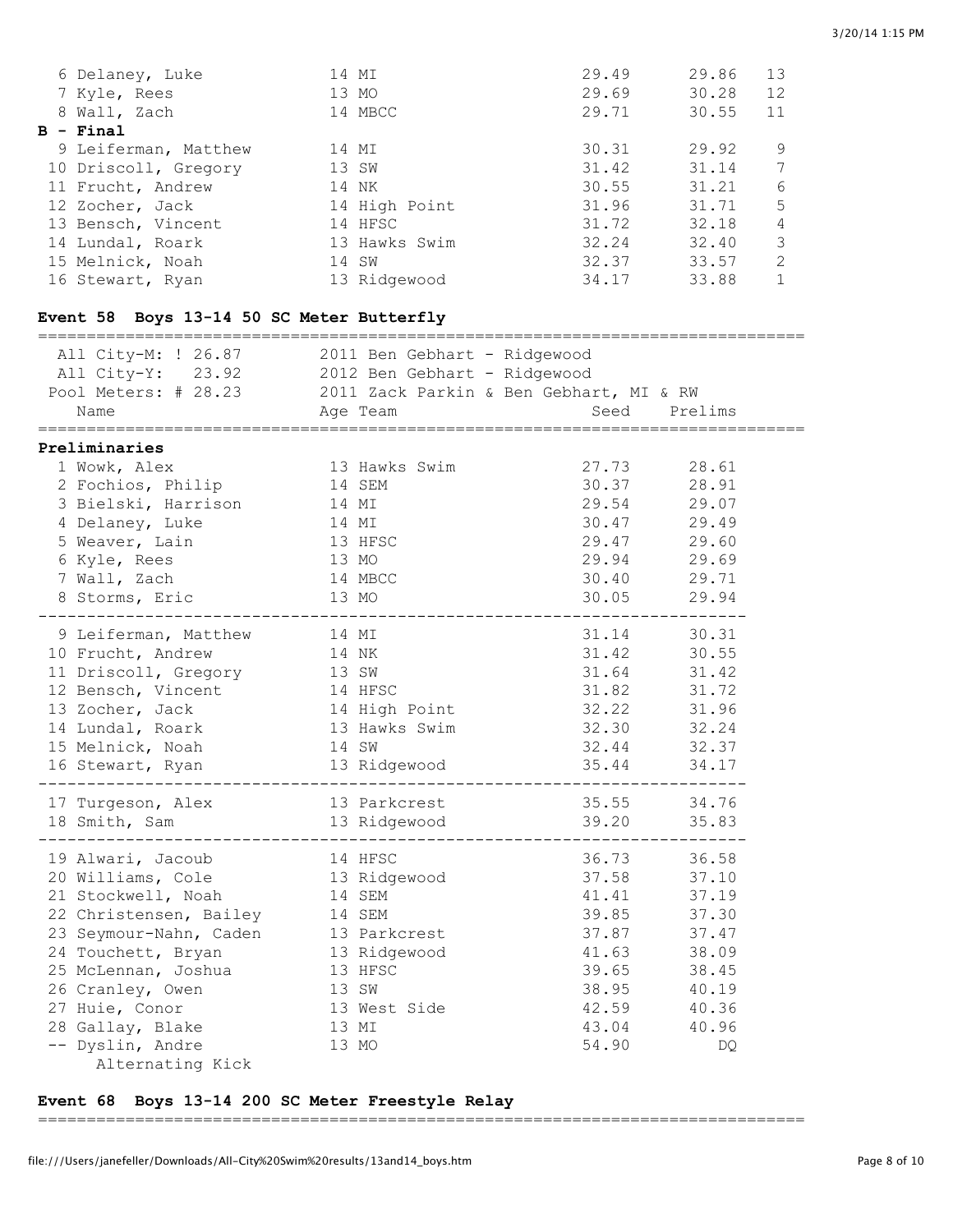| 6 Delaney, Luke      | 14 MI         | 29.49 | 29.86 | 13            |
|----------------------|---------------|-------|-------|---------------|
| 7 Kyle, Rees         | 13 MO         | 29.69 | 30.28 | 12            |
| 8 Wall, Zach         | 14 MBCC       | 29.71 | 30.55 | 11            |
| B - Final            |               |       |       |               |
| 9 Leiferman, Matthew | 14 MI         | 30.31 | 29.92 | 9             |
| 10 Driscoll, Gregory | 13 SW         | 31.42 | 31.14 | 7             |
| 11 Frucht, Andrew    | 14 NK         | 30.55 | 31.21 | 6             |
| 12 Zocher, Jack      | 14 High Point | 31.96 | 31.71 | .5            |
| 13 Bensch, Vincent   | 14 HFSC       | 31.72 | 32.18 | 4             |
| 14 Lundal, Roark     | 13 Hawks Swim | 32.24 | 32.40 | 3             |
| 15 Melnick, Noah     | 14 SW         | 32.37 | 33.57 | $\mathcal{L}$ |
| 16 Stewart, Ryan     | 13 Ridgewood  | 34.17 | 33.88 |               |

## **Event 58 Boys 13-14 50 SC Meter Butterfly**

| Name<br>================                                                                                                                                                                                                                                                                                              | All City-M: ! 26.87 2011 Ben Gebhart - Ridgewood<br>All City-Y: 23.92 2012 Ben Gebhart - Ridgewood<br>Pool Meters: # 28.23 2011 Zack Parkin & Ben Gebhart, MI & RW<br>Seed<br>Prelims<br>Age Team                                                               |  |
|-----------------------------------------------------------------------------------------------------------------------------------------------------------------------------------------------------------------------------------------------------------------------------------------------------------------------|-----------------------------------------------------------------------------------------------------------------------------------------------------------------------------------------------------------------------------------------------------------------|--|
| Preliminaries<br>1 Wowk, Alex<br>2 Fochios, Philip<br>3 Bielski, Harrison<br>4 Delaney, Luke<br>5 Weaver, Lain<br>6 Kyle, Rees<br>7 Wall, Zach<br>8 Storms, Eric                                                                                                                                                      | 27.73<br>13 Hawks Swim<br>28.61<br>14 SEM<br>30.37<br>28.91<br>29.54<br>14 MI<br>29.07<br>30.47<br>29.49<br>14 MI<br>29.47<br>13 HFSC<br>29.60<br>29.94 29.69<br>13 MO<br>30.40 29.71<br>14 MBCC<br>13 MO<br>30.05<br>29.94                                     |  |
| 9 Leiferman, Matthew<br>10 Frucht, Andrew<br>11 Driscoll, Gregory 13 SW<br>12 Bensch, Vincent 14 HFSC<br>13 Zocher, Jack 14 High Point<br>14 Lundal, Roark<br>15 Melnick, Noah<br>16 Stewart, Ryan                                                                                                                    | 31.14<br>30.31<br>14 MI<br>14 NK<br>31.42<br>30.55<br>31.64<br>31.42<br>31.82<br>31.72<br>32.22<br>31.96<br>32.30<br>13 Hawks Swim<br>32.24<br>32.44<br>14 SW<br>32.37<br>13 Ridgewood<br>35.44<br>34.17                                                        |  |
| 17 Turgeson, Alex<br>18 Smith, Sam                                                                                                                                                                                                                                                                                    | 35.55<br>34.76<br>13 Parkcrest<br>13 Ridgewood<br>39.20<br>35.83                                                                                                                                                                                                |  |
| 19 Alwari, Jacoub<br>20 Williams, Cole 13 Ridgewood<br>21 Stockwell, Noah<br>22 Christensen, Bailey 14 SEM<br>23 Seymour-Nahn, Caden 13 Parkcrest<br>24 Touchett, Bryan 13 Ridgewood<br>25 McLennan, Joshua 13 HFSC<br>26 Cranley, Owen<br>27 Huie, Conor<br>28 Gallay, Blake<br>-- Dyslin, Andre<br>Alternating Kick | 36.73<br>14 HFSC<br>36.58<br>37.58<br>37.10<br>14 SEM<br>41.41<br>37.19<br>39.85<br>37.30<br>37.87<br>37.47<br>41.63<br>38.09<br>39.65<br>38.45<br>13 SW<br>38.95<br>40.19<br>13 West Side<br>42.59<br>40.36<br>43.04<br>40.96<br>13 MI<br>13 MO<br>54.90<br>DQ |  |

### **Event 68 Boys 13-14 200 SC Meter Freestyle Relay**

===============================================================================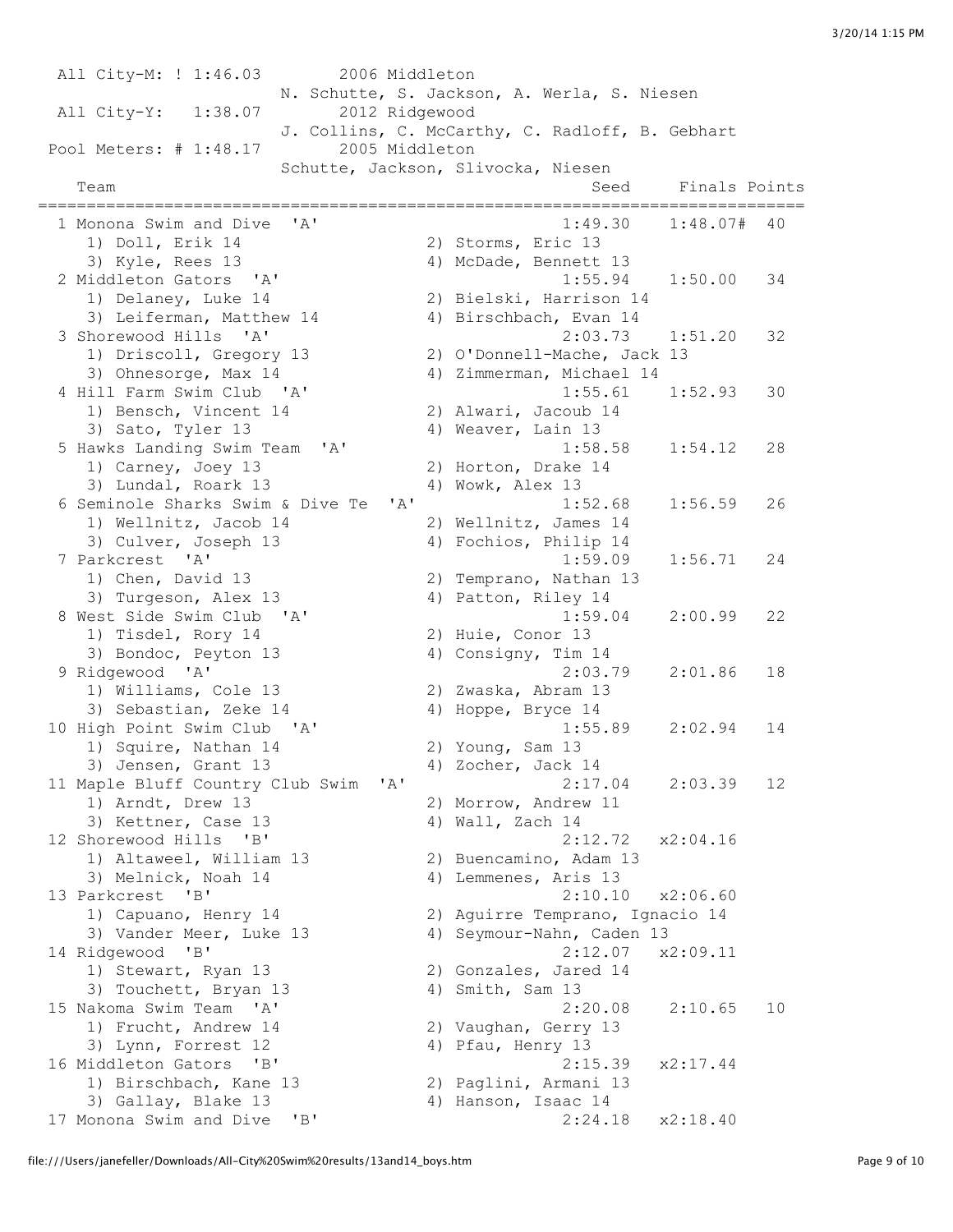All City-M: ! 1:46.03 2006 Middleton N. Schutte, S. Jackson, A. Werla, S. Niesen All City-Y: 1:38.07 2012 Ridgewood J. Collins, C. McCarthy, C. Radloff, B. Gebhart Pool Meters: # 1:48.17 2005 Middleton Schutte, Jackson, Slivocka, Niesen Team Seed Finals Points =============================================================================== 1 Monona Swim and Dive 'A' 1:49.30 1:48.07# 40 1) Doll, Erik 14 2) Storms, Eric 13 3) Kyle, Rees 13 4) McDade, Bennett 13 2 Middleton Gators 'A' 1:55.94 1:50.00 34 1) Delaney, Luke 14 2) Bielski, Harrison 14 3) Leiferman, Matthew 14 4) Birschbach, Evan 14 3 Shorewood Hills 'A' 2:03.73 1:51.20 32 1) Driscoll, Gregory 13 2) O'Donnell-Mache, Jack 13 3) Ohnesorge, Max 14 4) Zimmerman, Michael 14 4 Hill Farm Swim Club 'A' 1:55.61 1:52.93 30 1) Bensch, Vincent  $14$ <br>3) Sato Tyler 12 1.33.33<br>
3) Sato, Tyler 13 (awks Landing Swim Team (14) (awks Landing Swim Team (14) (awks 1.58.58 (1.54.12) 5 Hawks Landing Swim Team 'A' 1:58.58 1:54.12 28 1) Carney, Joey 13 2) Horton, Drake 14 3) Lundal, Roark 13 (a) 4) Wowk, Alex 13<br>
4) Wowk, Alex 13 (eminole Sharks Swim & Dive Te 'A' (a) 1:52.68 (1:56.59 6 Seminole Sharks Swim & Dive Te 'A' 1:52.68 1:56.59 26 1) Wellnitz, Jacob 14 2) Wellnitz, James 14 3) Culver, Joseph 13 4) Fochios, Philip 14 7 Parkcrest 'A' 1:59.09 1:56.71 24 1) Chen, David 13 2) Temprano, Nathan 13 3) Turgeson, Alex 13 4) Patton, Riley 14 8 West Side Swim Club 'A' 1:59.04 2:00.99 22 1) Tisdel, Rory 14 2) Huie, Conor 13 3) Bondoc, Peyton 13 4) Consigny, Tim 14 9 Ridgewood 'A' 2:03.79 2:01.86 18 1) Williams, Cole 13 2) Zwaska, Abram 13 3) Sebastian, Zeke 14  $\hskip 40pt 4$  Hoppe, Bryce 14 10 High Point Swim Club 'A' 1:55.89 2:02.94 14<br>
1) Squire, Nathan 14 2) Young, Sam 13 1) Squire, Nathan 14 2) Young, Sam 13 3) Jensen, Grant 13 4) Zocher, Jack 14 11 Maple Bluff Country Club Swim 'A' 2:17.04 2:03.39 12 1) Arndt, Drew 13 2) Morrow, Andrew 11 3) Kettner, Case 13 4) Wall, Zach 14 12 Shorewood Hills 'B' 2:12.72 x2:04.16 1) Altaweel, William 13 2) Buencamino, Adam 13 3) Melnick, Noah 14 4) Lemmenes, Aris 13 13 Parkcrest 'B' 2:10.10 x2:06.60 1) Capuano, Henry 14 2) Aguirre Temprano, Ignacio 14 3) Vander Meer, Luke 13 4) Seymour-Nahn, Caden 13 14 Ridgewood 'B' 2:12.07 x2:09.11 1) Stewart, Ryan 13 2) Gonzales, Jared 14 3) Touchett, Bryan 13 4) Smith, Sam 13 15 Nakoma Swim Team 'A' 2:20.08 2:10.65 10 1) Frucht, Andrew 14 2) Vaughan, Gerry 13 3) Lynn, Forrest 12 (4) Pfau, Henry 13 16 Middleton Gators 'B' 2:15.39 x2:17.44 1) Birschbach, Kane 13 2) Paglini, Armani 13 3) Gallay, Blake 13 4) Hanson, Isaac 14 17 Monona Swim and Dive 'B' 2:24.18 x2:18.40